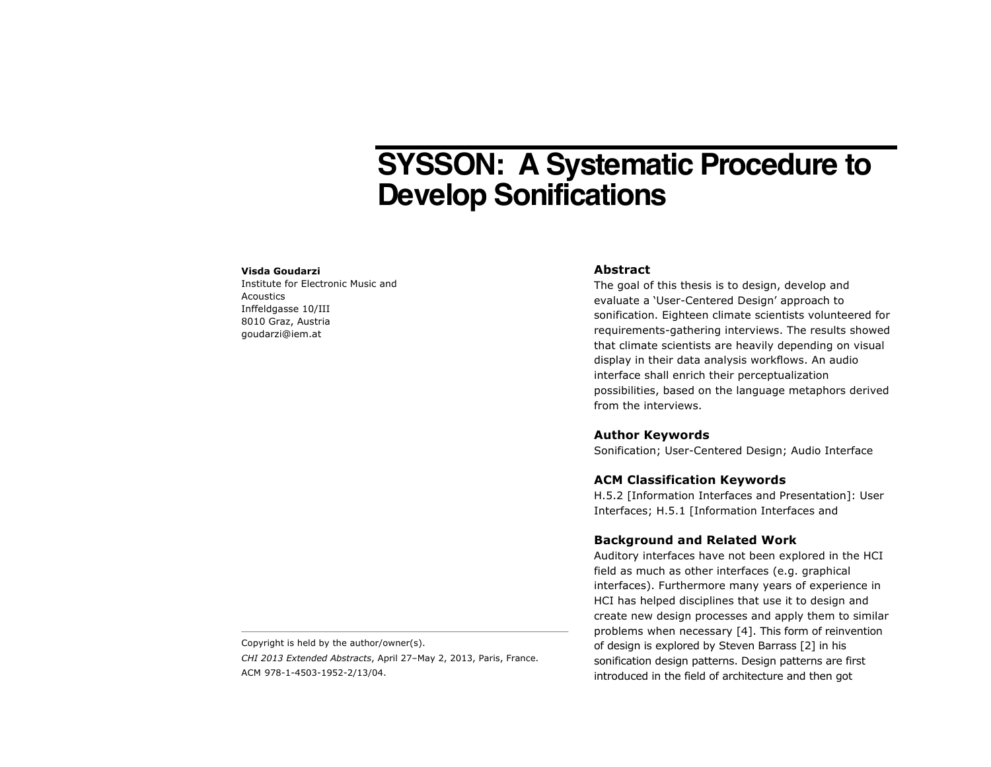# **SYSSON: A Systematic Procedure to Develop Sonifications**

#### **Visda Goudarzi**

Institute for Electronic Music and **Acoustics** Inffeldgasse 10/III 8010 Graz, Austria goudarzi@iem.at

#### **Abstract**

The goal of this thesis is to design, develop and evaluate a 'User-Centered Design' approach to sonification. Eighteen climate scientists volunteered for requirements-gathering interviews. The results showed that climate scientists are heavily depending on visual display in their data analysis workflows. An audio interface shall enrich their perceptualization possibilities, based on the language metaphors derived from the interviews.

#### **Author Keywords**

Sonification; User-Centered Design; Audio Interface

### **ACM Classification Keywords**

H.5.2 [Information Interfaces and Presentation]: User Interfaces; H.5.1 [Information Interfaces and

#### **Background and Related Work**

Auditory interfaces have not been explored in the HCI field as much as other interfaces (e.g. graphical interfaces). Furthermore many years of experience in HCI has helped disciplines that use it to design and create new design processes and apply them to similar problems when necessary [4]. This form of reinvention of design is explored by Steven Barrass [2] in his sonification design patterns. Design patterns are first introduced in the field of architecture and then got

Copyright is held by the author/owner(s).

*CHI 2013 Extended Abstracts*, April 27–May 2, 2013, Paris, France. ACM 978-1-4503-1952-2/13/04.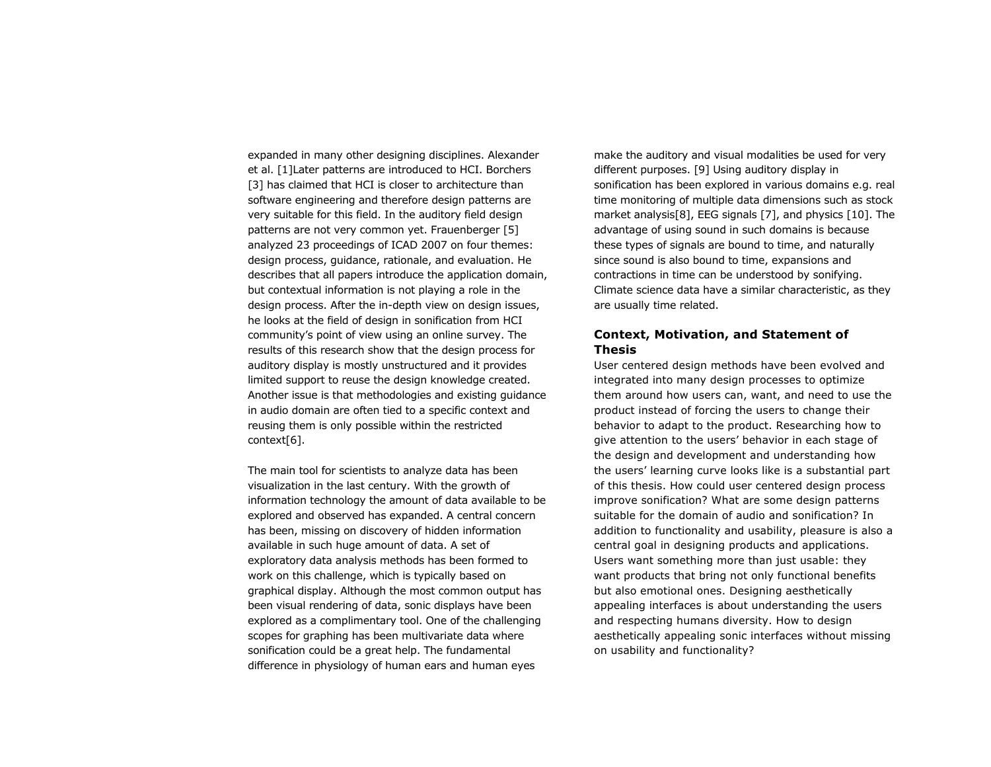expanded in many other designing disciplines. Alexander et al. [1]Later patterns are introduced to HCI. Borchers [3] has claimed that HCI is closer to architecture than software engineering and therefore design patterns are very suitable for this field. In the auditory field design patterns are not very common yet. Frauenberger [5] analyzed 23 proceedings of ICAD 2007 on four themes: design process, guidance, rationale, and evaluation. He describes that all papers introduce the application domain, but contextual information is not playing a role in the design process. After the in-depth view on design issues, he looks at the field of design in sonification from HCI community's point of view using an online survey. The results of this research show that the design process for auditory display is mostly unstructured and it provides limited support to reuse the design knowledge created. Another issue is that methodologies and existing guidance in audio domain are often tied to a specific context and reusing them is only possible within the restricted context[6].

The main tool for scientists to analyze data has been visualization in the last century. With the growth of information technology the amount of data available to be explored and observed has expanded. A central concern has been, missing on discovery of hidden information available in such huge amount of data. A set of exploratory data analysis methods has been formed to work on this challenge, which is typically based on graphical display. Although the most common output has been visual rendering of data, sonic displays have been explored as a complimentary tool. One of the challenging scopes for graphing has been multivariate data where sonification could be a great help. The fundamental difference in physiology of human ears and human eyes

make the auditory and visual modalities be used for very different purposes. [9] Using auditory display in sonification has been explored in various domains e.g. real time monitoring of multiple data dimensions such as stock market analysis[8], EEG signals [7], and physics [10]. The advantage of using sound in such domains is because these types of signals are bound to time, and naturally since sound is also bound to time, expansions and contractions in time can be understood by sonifying. Climate science data have a similar characteristic, as they are usually time related.

## **Context, Motivation, and Statement of Thesis**

User centered design methods have been evolved and integrated into many design processes to optimize them around how users can, want, and need to use the product instead of forcing the users to change their behavior to adapt to the product. Researching how to give attention to the users' behavior in each stage of the design and development and understanding how the users' learning curve looks like is a substantial part of this thesis. How could user centered design process improve sonification? What are some design patterns suitable for the domain of audio and sonification? In addition to functionality and usability, pleasure is also a central goal in designing products and applications. Users want something more than just usable: they want products that bring not only functional benefits but also emotional ones. Designing aesthetically appealing interfaces is about understanding the users and respecting humans diversity. How to design aesthetically appealing sonic interfaces without missing on usability and functionality?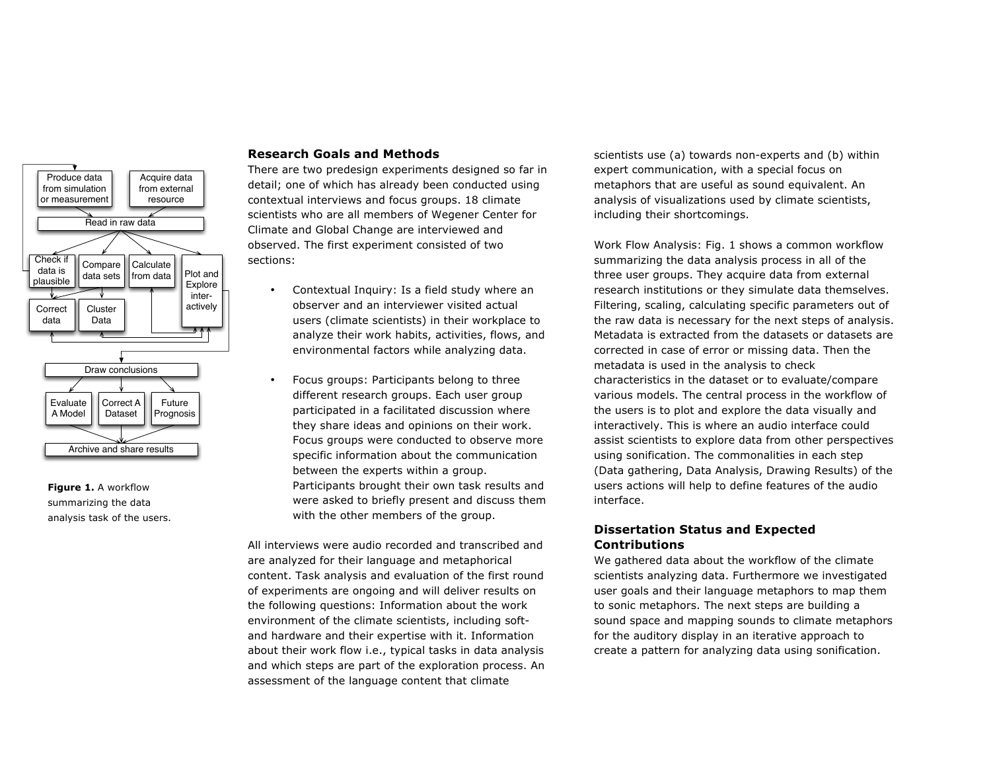

**Figure 1.** A workflow summarizing the data analysis task of the users.

#### **Research Goals and Methods**

There are two predesign experiments designed so far in detail; one of which has already been conducted using contextual interviews and focus groups. 18 climate scientists who are all members of Wegener Center for Climate and Global Change are interviewed and observed. The first experiment consisted of two sections:

- Contextual Inquiry: Is a field study where an observer and an interviewer visited actual users (climate scientists) in their workplace to analyze their work habits, activities, flows, and environmental factors while analyzing data.
- Focus groups: Participants belong to three different research groups. Each user group participated in a facilitated discussion where they share ideas and opinions on their work. Focus groups were conducted to observe more specific information about the communication between the experts within a group. Participants brought their own task results and were asked to briefly present and discuss them with the other members of the group.

All interviews were audio recorded and transcribed and are analyzed for their language and metaphorical content. Task analysis and evaluation of the first round of experiments are ongoing and will deliver results on the following questions: Information about the work environment of the climate scientists, including softand hardware and their expertise with it. Information about their work flow i.e., typical tasks in data analysis and which steps are part of the exploration process. An assessment of the language content that climate

scientists use (a) towards non-experts and (b) within expert communication, with a special focus on metaphors that are useful as sound equivalent. An analysis of visualizations used by climate scientists, including their shortcomings.

Work Flow Analysis: Fig. 1 shows a common workflow summarizing the data analysis process in all of the three user groups. They acquire data from external research institutions or they simulate data themselves. Filtering, scaling, calculating specific parameters out of the raw data is necessary for the next steps of analysis. Metadata is extracted from the datasets or datasets are corrected in case of error or missing data. Then the metadata is used in the analysis to check characteristics in the dataset or to evaluate/compare various models. The central process in the workflow of the users is to plot and explore the data visually and interactively. This is where an audio interface could assist scientists to explore data from other perspectives using sonification. The commonalities in each step (Data gathering, Data Analysis, Drawing Results) of the users actions will help to define features of the audio interface.

# **Dissertation Status and Expected Contributions**

We gathered data about the workflow of the climate scientists analyzing data. Furthermore we investigated user goals and their language metaphors to map them to sonic metaphors. The next steps are building a sound space and mapping sounds to climate metaphors for the auditory display in an iterative approach to create a pattern for analyzing data using sonification.